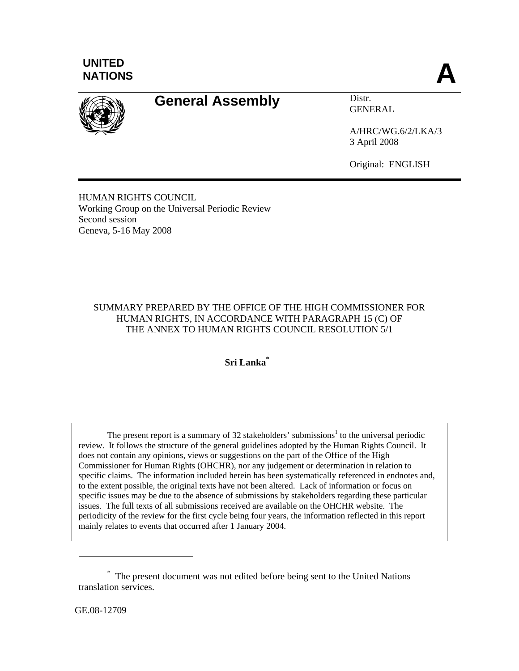



# General Assembly **Distr.**

GENERAL

A/HRC/WG.6/2/LKA/3 3 April 2008

Original: ENGLISH

HUMAN RIGHTS COUNCIL Working Group on the Universal Periodic Review Second session Geneva, 5-16 May 2008

# SUMMARY PREPARED BY THE OFFICE OF THE HIGH COMMISSIONER FOR HUMAN RIGHTS, IN ACCORDANCE WITH PARAGRAPH 15 (C) OF THE ANNEX TO HUMAN RIGHTS COUNCIL RESOLUTION 5/1

**Sri Lanka\***

The present report is a summary of 32 stakeholders' submissions<sup>1</sup> to the universal periodic review. It follows the structure of the general guidelines adopted by the Human Rights Council. It does not contain any opinions, views or suggestions on the part of the Office of the High Commissioner for Human Rights (OHCHR), nor any judgement or determination in relation to specific claims. The information included herein has been systematically referenced in endnotes and, to the extent possible, the original texts have not been altered. Lack of information or focus on specific issues may be due to the absence of submissions by stakeholders regarding these particular issues. The full texts of all submissions received are available on the OHCHR website. The periodicity of the review for the first cycle being four years, the information reflected in this report mainly relates to events that occurred after 1 January 2004.

GE.08-12709

<sup>\*</sup> The present document was not edited before being sent to the United Nations translation services.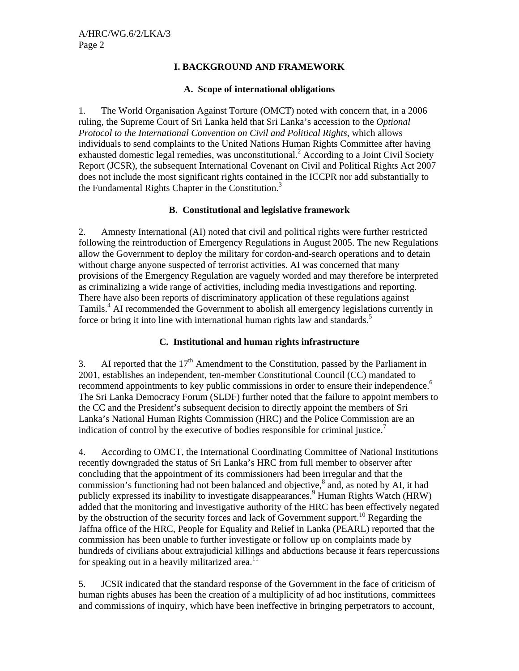#### **I. BACKGROUND AND FRAMEWORK**

#### **A. Scope of international obligations**

1. The World Organisation Against Torture (OMCT) noted with concern that, in a 2006 ruling, the Supreme Court of Sri Lanka held that Sri Lanka's accession to the *Optional Protocol to the International Convention on Civil and Political Rights*, which allows individuals to send complaints to the United Nations Human Rights Committee after having exhausted domestic legal remedies, was unconstitutional.<sup>2</sup> According to a Joint Civil Society Report (JCSR), the subsequent International Covenant on Civil and Political Rights Act 2007 does not include the most significant rights contained in the ICCPR nor add substantially to the Fundamental Rights Chapter in the Constitution.<sup>3</sup>

#### **B. Constitutional and legislative framework**

2. Amnesty International (AI) noted that civil and political rights were further restricted following the reintroduction of Emergency Regulations in August 2005. The new Regulations allow the Government to deploy the military for cordon-and-search operations and to detain without charge anyone suspected of terrorist activities. AI was concerned that many provisions of the Emergency Regulation are vaguely worded and may therefore be interpreted as criminalizing a wide range of activities, including media investigations and reporting. There have also been reports of discriminatory application of these regulations against Tamils.<sup>4</sup> AI recommended the Government to abolish all emergency legislations currently in force or bring it into line with international human rights law and standards.<sup>5</sup>

## **C. Institutional and human rights infrastructure**

3. AI reported that the  $17<sup>th</sup>$  Amendment to the Constitution, passed by the Parliament in 2001, establishes an independent, ten-member Constitutional Council (CC) mandated to recommend appointments to key public commissions in order to ensure their independence.<sup>6</sup> The Sri Lanka Democracy Forum (SLDF) further noted that the failure to appoint members to the CC and the President's subsequent decision to directly appoint the members of Sri Lanka's National Human Rights Commission (HRC) and the Police Commission are an indication of control by the executive of bodies responsible for criminal justice.<sup>7</sup>

4. According to OMCT, the International Coordinating Committee of National Institutions recently downgraded the status of Sri Lanka's HRC from full member to observer after concluding that the appointment of its commissioners had been irregular and that the commission's functioning had not been balanced and objective, $^8$  and, as noted by AI, it had publicly expressed its inability to investigate disappearances.<sup>9</sup> Human Rights Watch (HRW) added that the monitoring and investigative authority of the HRC has been effectively negated by the obstruction of the security forces and lack of Government support.<sup>10</sup> Regarding the Jaffna office of the HRC, People for Equality and Relief in Lanka (PEARL) reported that the commission has been unable to further investigate or follow up on complaints made by hundreds of civilians about extrajudicial killings and abductions because it fears repercussions for speaking out in a heavily militarized area.<sup>11</sup>

5. JCSR indicated that the standard response of the Government in the face of criticism of human rights abuses has been the creation of a multiplicity of ad hoc institutions, committees and commissions of inquiry, which have been ineffective in bringing perpetrators to account,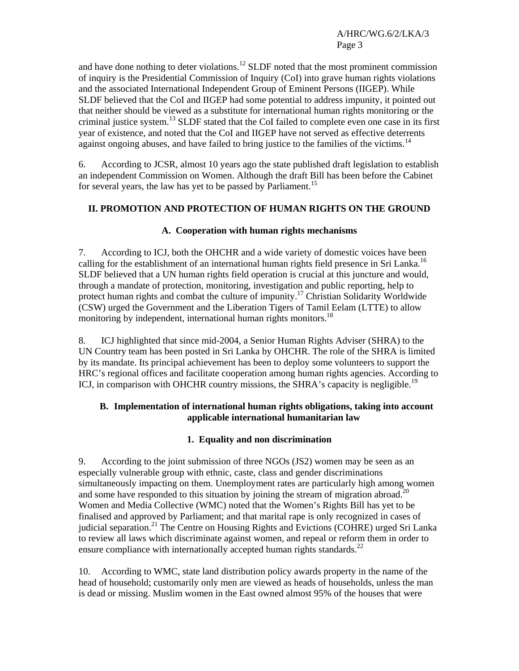and have done nothing to deter violations.<sup>12</sup> SLDF noted that the most prominent commission of inquiry is the Presidential Commission of Inquiry (CoI) into grave human rights violations and the associated International Independent Group of Eminent Persons (IIGEP). While SLDF believed that the CoI and IIGEP had some potential to address impunity, it pointed out that neither should be viewed as a substitute for international human rights monitoring or the criminal justice system.13 SLDF stated that the CoI failed to complete even one case in its first year of existence, and noted that the CoI and IIGEP have not served as effective deterrents against ongoing abuses, and have failed to bring justice to the families of the victims.<sup>14</sup>

6. According to JCSR, almost 10 years ago the state published draft legislation to establish an independent Commission on Women. Although the draft Bill has been before the Cabinet for several years, the law has yet to be passed by Parliament.<sup>15</sup>

## **II. PROMOTION AND PROTECTION OF HUMAN RIGHTS ON THE GROUND**

## **A. Cooperation with human rights mechanisms**

7. According to ICJ, both the OHCHR and a wide variety of domestic voices have been calling for the establishment of an international human rights field presence in Sri Lanka.<sup>16</sup> SLDF believed that a UN human rights field operation is crucial at this juncture and would, through a mandate of protection, monitoring, investigation and public reporting, help to protect human rights and combat the culture of impunity.<sup>17</sup> Christian Solidarity Worldwide (CSW) urged the Government and the Liberation Tigers of Tamil Eelam (LTTE) to allow monitoring by independent, international human rights monitors.<sup>18</sup>

8. ICJ highlighted that since mid-2004, a Senior Human Rights Adviser (SHRA) to the UN Country team has been posted in Sri Lanka by OHCHR. The role of the SHRA is limited by its mandate. Its principal achievement has been to deploy some volunteers to support the HRC's regional offices and facilitate cooperation among human rights agencies. According to ICJ, in comparison with OHCHR country missions, the SHRA's capacity is negligible.<sup>19</sup>

## **B. Implementation of international human rights obligations, taking into account applicable international humanitarian law**

## **1. Equality and non discrimination**

9. According to the joint submission of three NGOs (JS2) women may be seen as an especially vulnerable group with ethnic, caste, class and gender discriminations simultaneously impacting on them. Unemployment rates are particularly high among women and some have responded to this situation by joining the stream of migration abroad.<sup>20</sup> Women and Media Collective (WMC) noted that the Women's Rights Bill has yet to be finalised and approved by Parliament; and that marital rape is only recognized in cases of judicial separation.<sup>21</sup> The Centre on Housing Rights and Evictions (COHRE) urged Sri Lanka to review all laws which discriminate against women, and repeal or reform them in order to ensure compliance with internationally accepted human rights standards. $^{22}$ 

10. According to WMC, state land distribution policy awards property in the name of the head of household; customarily only men are viewed as heads of households, unless the man is dead or missing. Muslim women in the East owned almost 95% of the houses that were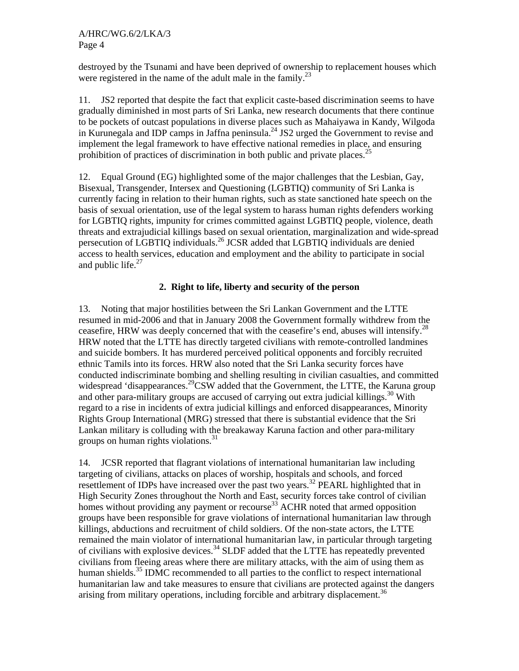destroyed by the Tsunami and have been deprived of ownership to replacement houses which were registered in the name of the adult male in the family. $^{23}$ 

11. JS2 reported that despite the fact that explicit caste-based discrimination seems to have gradually diminished in most parts of Sri Lanka, new research documents that there continue to be pockets of outcast populations in diverse places such as Mahaiyawa in Kandy, Wilgoda in Kurunegala and IDP camps in Jaffna peninsula.<sup>24</sup> JS2 urged the Government to revise and implement the legal framework to have effective national remedies in place, and ensuring prohibition of practices of discrimination in both public and private places.<sup>25</sup>

12. Equal Ground (EG) highlighted some of the major challenges that the Lesbian, Gay, Bisexual, Transgender, Intersex and Questioning (LGBTIQ) community of Sri Lanka is currently facing in relation to their human rights, such as state sanctioned hate speech on the basis of sexual orientation, use of the legal system to harass human rights defenders working for LGBTIQ rights, impunity for crimes committed against LGBTIQ people, violence, death threats and extrajudicial killings based on sexual orientation, marginalization and wide-spread persecution of LGBTIQ individuals.<sup>26</sup> JCSR added that LGBTIQ individuals are denied access to health services, education and employment and the ability to participate in social and public life. $27$ 

# **2. Right to life, liberty and security of the person**

13. Noting that major hostilities between the Sri Lankan Government and the LTTE resumed in mid-2006 and that in January 2008 the Government formally withdrew from the ceasefire, HRW was deeply concerned that with the ceasefire's end, abuses will intensify.28 HRW noted that the LTTE has directly targeted civilians with remote-controlled landmines and suicide bombers. It has murdered perceived political opponents and forcibly recruited ethnic Tamils into its forces. HRW also noted that the Sri Lanka security forces have conducted indiscriminate bombing and shelling resulting in civilian casualties, and committed widespread 'disappearances.<sup>29</sup>CSW added that the Government, the LTTE, the Karuna group and other para-military groups are accused of carrying out extra judicial killings.<sup>30</sup> With regard to a rise in incidents of extra judicial killings and enforced disappearances, Minority Rights Group International (MRG) stressed that there is substantial evidence that the Sri Lankan military is colluding with the breakaway Karuna faction and other para-military groups on human rights violations.<sup>31</sup>

14. JCSR reported that flagrant violations of international humanitarian law including targeting of civilians, attacks on places of worship, hospitals and schools, and forced resettlement of IDPs have increased over the past two years.<sup>32</sup> PEARL highlighted that in High Security Zones throughout the North and East, security forces take control of civilian homes without providing any payment or recourse<sup>33</sup> ACHR noted that armed opposition groups have been responsible for grave violations of international humanitarian law through killings, abductions and recruitment of child soldiers. Of the non-state actors, the LTTE remained the main violator of international humanitarian law, in particular through targeting of civilians with explosive devices.34 SLDF added that the LTTE has repeatedly prevented civilians from fleeing areas where there are military attacks, with the aim of using them as human shields.<sup>35</sup> IDMC recommended to all parties to the conflict to respect international humanitarian law and take measures to ensure that civilians are protected against the dangers arising from military operations, including forcible and arbitrary displacement.<sup>36</sup>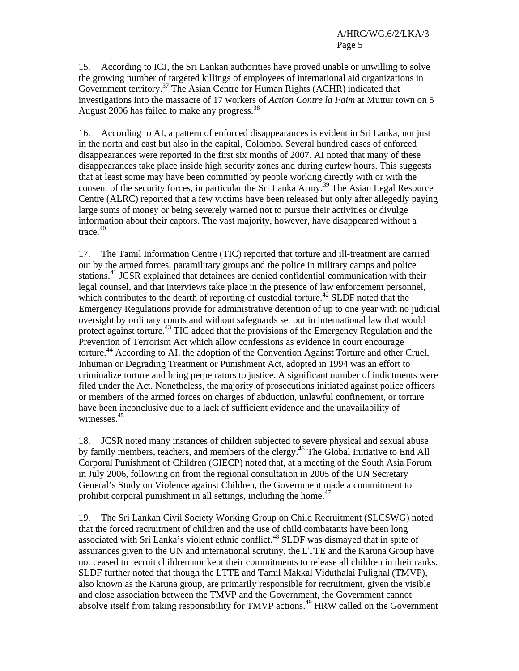15. According to ICJ, the Sri Lankan authorities have proved unable or unwilling to solve the growing number of targeted killings of employees of international aid organizations in Government territory.37 The Asian Centre for Human Rights (ACHR) indicated that investigations into the massacre of 17 workers of *Action Contre la Faim* at Muttur town on 5 August 2006 has failed to make any progress.<sup>38</sup>

16. According to AI, a pattern of enforced disappearances is evident in Sri Lanka, not just in the north and east but also in the capital, Colombo. Several hundred cases of enforced disappearances were reported in the first six months of 2007. AI noted that many of these disappearances take place inside high security zones and during curfew hours. This suggests that at least some may have been committed by people working directly with or with the consent of the security forces, in particular the Sri Lanka Army.<sup>39</sup> The Asian Legal Resource Centre (ALRC) reported that a few victims have been released but only after allegedly paying large sums of money or being severely warned not to pursue their activities or divulge information about their captors. The vast majority, however, have disappeared without a  $trace<sup>40</sup>$ 

17. The Tamil Information Centre (TIC) reported that torture and ill-treatment are carried out by the armed forces, paramilitary groups and the police in military camps and police stations.<sup>41</sup> JCSR explained that detainees are denied confidential communication with their legal counsel, and that interviews take place in the presence of law enforcement personnel, which contributes to the dearth of reporting of custodial torture.<sup> $42$ </sup> SLDF noted that the Emergency Regulations provide for administrative detention of up to one year with no judicial oversight by ordinary courts and without safeguards set out in international law that would protect against torture.<sup>43</sup> TIC added that the provisions of the Emergency Regulation and the Prevention of Terrorism Act which allow confessions as evidence in court encourage torture.<sup>44</sup> According to AI, the adoption of the Convention Against Torture and other Cruel, Inhuman or Degrading Treatment or Punishment Act, adopted in 1994 was an effort to criminalize torture and bring perpetrators to justice. A significant number of indictments were filed under the Act. Nonetheless, the majority of prosecutions initiated against police officers or members of the armed forces on charges of abduction, unlawful confinement, or torture have been inconclusive due to a lack of sufficient evidence and the unavailability of witnesses.<sup>45</sup>

18. JCSR noted many instances of children subjected to severe physical and sexual abuse by family members, teachers, and members of the clergy.<sup>46</sup> The Global Initiative to End All Corporal Punishment of Children (GIECP) noted that, at a meeting of the South Asia Forum in July 2006, following on from the regional consultation in 2005 of the UN Secretary General's Study on Violence against Children, the Government made a commitment to prohibit corporal punishment in all settings, including the home. $47$ 

19. The Sri Lankan Civil Society Working Group on Child Recruitment (SLCSWG) noted that the forced recruitment of children and the use of child combatants have been long associated with Sri Lanka's violent ethnic conflict.48 SLDF was dismayed that in spite of assurances given to the UN and international scrutiny, the LTTE and the Karuna Group have not ceased to recruit children nor kept their commitments to release all children in their ranks. SLDF further noted that though the LTTE and Tamil Makkal Viduthalai Pulighal (TMVP), also known as the Karuna group, are primarily responsible for recruitment, given the visible and close association between the TMVP and the Government, the Government cannot absolve itself from taking responsibility for TMVP actions.<sup>49</sup> HRW called on the Government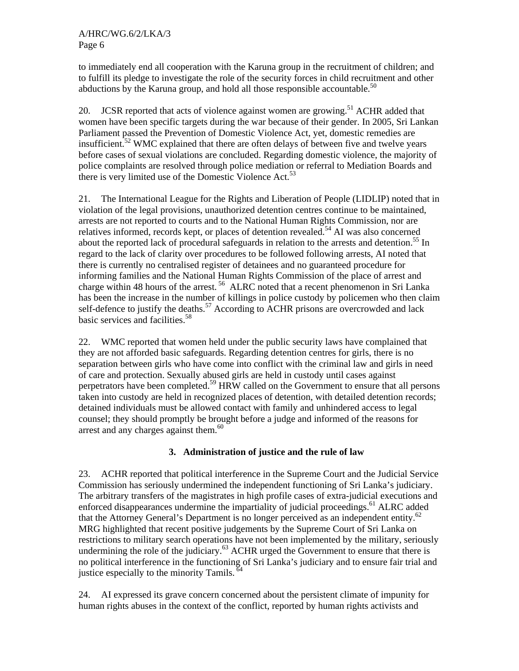to immediately end all cooperation with the Karuna group in the recruitment of children; and to fulfill its pledge to investigate the role of the security forces in child recruitment and other abductions by the Karuna group, and hold all those responsible accountable.<sup>50</sup>

20. JCSR reported that acts of violence against women are growing.<sup>51</sup> ACHR added that women have been specific targets during the war because of their gender. In 2005, Sri Lankan Parliament passed the Prevention of Domestic Violence Act, yet, domestic remedies are insufficient.<sup>52</sup> WMC explained that there are often delays of between five and twelve years before cases of sexual violations are concluded. Regarding domestic violence, the majority of police complaints are resolved through police mediation or referral to Mediation Boards and there is very limited use of the Domestic Violence Act.<sup>53</sup>

21. The International League for the Rights and Liberation of People (LIDLIP) noted that in violation of the legal provisions, unauthorized detention centres continue to be maintained, arrests are not reported to courts and to the National Human Rights Commission, nor are relatives informed, records kept, or places of detention revealed.<sup>54</sup> AI was also concerned about the reported lack of procedural safeguards in relation to the arrests and detention.<sup>55</sup> In regard to the lack of clarity over procedures to be followed following arrests, AI noted that there is currently no centralised register of detainees and no guaranteed procedure for informing families and the National Human Rights Commission of the place of arrest and charge within 48 hours of the arrest.<sup>56</sup> ALRC noted that a recent phenomenon in Sri Lanka has been the increase in the number of killings in police custody by policemen who then claim self-defence to justify the deaths.<sup>57</sup> According to ACHR prisons are overcrowded and lack basic services and facilities.<sup>58</sup>

22. WMC reported that women held under the public security laws have complained that they are not afforded basic safeguards. Regarding detention centres for girls, there is no separation between girls who have come into conflict with the criminal law and girls in need of care and protection. Sexually abused girls are held in custody until cases against perpetrators have been completed.59 HRW called on the Government to ensure that all persons taken into custody are held in recognized places of detention, with detailed detention records; detained individuals must be allowed contact with family and unhindered access to legal counsel; they should promptly be brought before a judge and informed of the reasons for arrest and any charges against them. $60$ 

# **3. Administration of justice and the rule of law**

23. ACHR reported that political interference in the Supreme Court and the Judicial Service Commission has seriously undermined the independent functioning of Sri Lanka's judiciary. The arbitrary transfers of the magistrates in high profile cases of extra-judicial executions and enforced disappearances undermine the impartiality of judicial proceedings.<sup>61</sup> ALRC added that the Attorney General's Department is no longer perceived as an independent entity.<sup>62</sup> MRG highlighted that recent positive judgements by the Supreme Court of Sri Lanka on restrictions to military search operations have not been implemented by the military, seriously undermining the role of the judiciary.<sup>63</sup> ACHR urged the Government to ensure that there is no political interference in the functioning of Sri Lanka's judiciary and to ensure fair trial and justice especially to the minority Tamils.<sup>64</sup>

24. AI expressed its grave concern concerned about the persistent climate of impunity for human rights abuses in the context of the conflict, reported by human rights activists and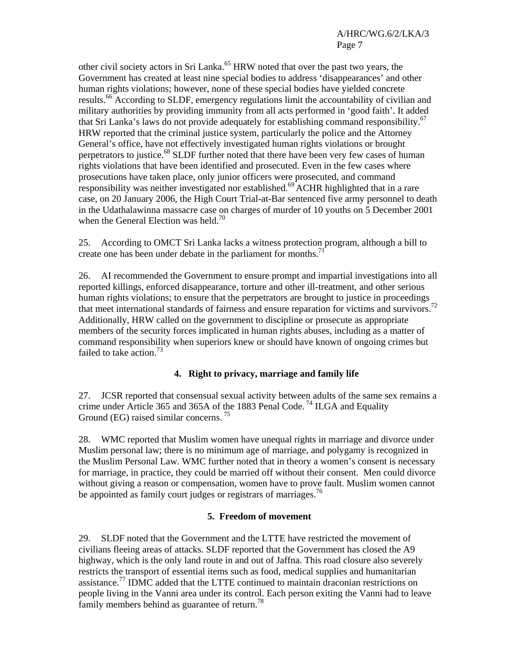other civil society actors in Sri Lanka.<sup>65</sup> HRW noted that over the past two years, the Government has created at least nine special bodies to address 'disappearances' and other human rights violations; however, none of these special bodies have yielded concrete results.<sup>66</sup> According to SLDF, emergency regulations limit the accountability of civilian and military authorities by providing immunity from all acts performed in 'good faith'. It added that Sri Lanka's laws do not provide adequately for establishing command responsibility.<sup>67</sup> HRW reported that the criminal justice system, particularly the police and the Attorney General's office, have not effectively investigated human rights violations or brought perpetrators to justice.<sup>68</sup> SLDF further noted that there have been very few cases of human rights violations that have been identified and prosecuted. Even in the few cases where prosecutions have taken place, only junior officers were prosecuted, and command responsibility was neither investigated nor established.<sup>69</sup> ACHR highlighted that in a rare case, on 20 January 2006, the High Court Trial-at-Bar sentenced five army personnel to death in the Udathalawinna massacre case on charges of murder of 10 youths on 5 December 2001 when the General Election was held.<sup>70</sup>

25. According to OMCT Sri Lanka lacks a witness protection program, although a bill to create one has been under debate in the parliament for months.<sup>71</sup>

26. AI recommended the Government to ensure prompt and impartial investigations into all reported killings, enforced disappearance, torture and other ill-treatment, and other serious human rights violations; to ensure that the perpetrators are brought to justice in proceedings that meet international standards of fairness and ensure reparation for victims and survivors.<sup>72</sup> Additionally, HRW called on the government to discipline or prosecute as appropriate members of the security forces implicated in human rights abuses, including as a matter of command responsibility when superiors knew or should have known of ongoing crimes but failed to take action.<sup>73</sup>

## **4. Right to privacy, marriage and family life**

27. JCSR reported that consensual sexual activity between adults of the same sex remains a crime under Article 365 and 365A of the 1883 Penal Code. 74 ILGA and Equality Ground (EG) raised similar concerns.<sup>75</sup>

28. WMC reported that Muslim women have unequal rights in marriage and divorce under Muslim personal law; there is no minimum age of marriage, and polygamy is recognized in the Muslim Personal Law. WMC further noted that in theory a women's consent is necessary for marriage, in practice, they could be married off without their consent. Men could divorce without giving a reason or compensation, women have to prove fault. Muslim women cannot be appointed as family court judges or registrars of marriages.<sup>76</sup>

#### **5. Freedom of movement**

29. SLDF noted that the Government and the LTTE have restricted the movement of civilians fleeing areas of attacks. SLDF reported that the Government has closed the A9 highway, which is the only land route in and out of Jaffna. This road closure also severely restricts the transport of essential items such as food, medical supplies and humanitarian assistance.<sup>77</sup> IDMC added that the LTTE continued to maintain draconian restrictions on people living in the Vanni area under its control. Each person exiting the Vanni had to leave family members behind as guarantee of return.<sup>78</sup>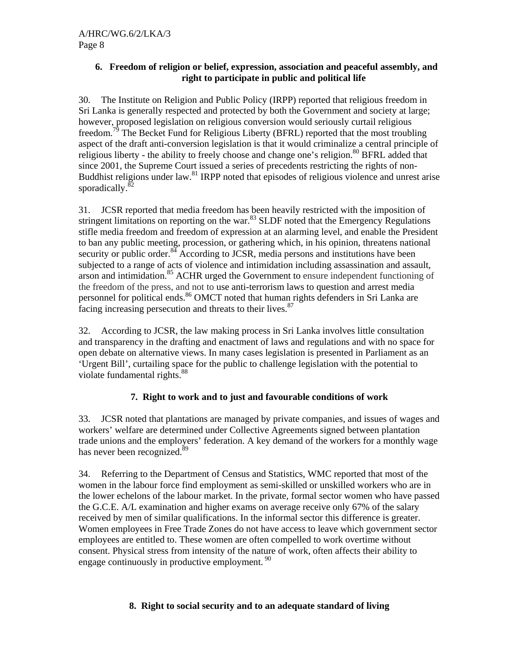## **6. Freedom of religion or belief, expression, association and peaceful assembly, and right to participate in public and political life**

30. The Institute on Religion and Public Policy (IRPP) reported that religious freedom in Sri Lanka is generally respected and protected by both the Government and society at large; however, proposed legislation on religious conversion would seriously curtail religious freedom.<sup>79</sup> The Becket Fund for Religious Liberty (BFRL) reported that the most troubling aspect of the draft anti-conversion legislation is that it would criminalize a central principle of religious liberty - the ability to freely choose and change one's religion.<sup>80</sup> BFRL added that since 2001, the Supreme Court issued a series of precedents restricting the rights of non-Buddhist religions under law.<sup>81</sup> IRPP noted that episodes of religious violence and unrest arise sporadically. ${}^{82}$ 

31. JCSR reported that media freedom has been heavily restricted with the imposition of stringent limitations on reporting on the war.<sup>83</sup> SLDF noted that the Emergency Regulations stifle media freedom and freedom of expression at an alarming level, and enable the President to ban any public meeting, procession, or gathering which, in his opinion, threatens national security or public order.<sup>84</sup> According to JCSR, media persons and institutions have been subjected to a range of acts of violence and intimidation including assassination and assault, arson and intimidation.85 ACHR urged the Government to ensure independent functioning of the freedom of the press, and not to use anti-terrorism laws to question and arrest media personnel for political ends.<sup>86</sup> OMCT noted that human rights defenders in Sri Lanka are facing increasing persecution and threats to their lives.<sup>87</sup>

32. According to JCSR, the law making process in Sri Lanka involves little consultation and transparency in the drafting and enactment of laws and regulations and with no space for open debate on alternative views. In many cases legislation is presented in Parliament as an 'Urgent Bill', curtailing space for the public to challenge legislation with the potential to violate fundamental rights.<sup>88</sup>

# **7. Right to work and to just and favourable conditions of work**

33. JCSR noted that plantations are managed by private companies, and issues of wages and workers' welfare are determined under Collective Agreements signed between plantation trade unions and the employers' federation. A key demand of the workers for a monthly wage has never been recognized.<sup>89</sup>

34. Referring to the Department of Census and Statistics, WMC reported that most of the women in the labour force find employment as semi-skilled or unskilled workers who are in the lower echelons of the labour market. In the private, formal sector women who have passed the G.C.E. A/L examination and higher exams on average receive only 67% of the salary received by men of similar qualifications. In the informal sector this difference is greater. Women employees in Free Trade Zones do not have access to leave which government sector employees are entitled to. These women are often compelled to work overtime without consent. Physical stress from intensity of the nature of work, often affects their ability to engage continuously in productive employment.<sup>90</sup>

# **8. Right to social security and to an adequate standard of living**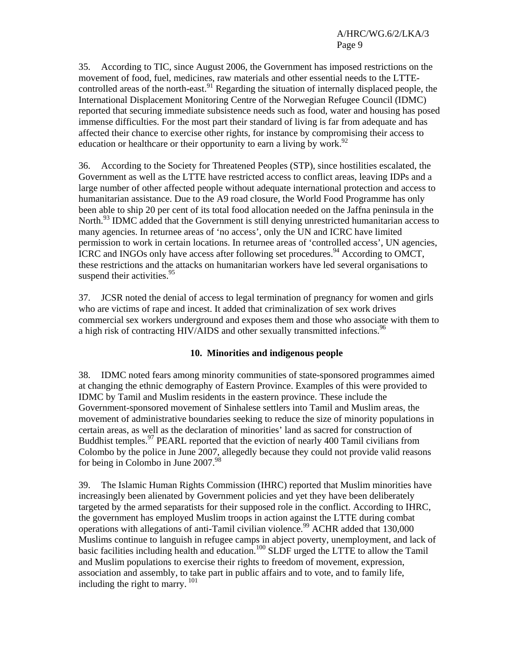35. According to TIC, since August 2006, the Government has imposed restrictions on the movement of food, fuel, medicines, raw materials and other essential needs to the LTTEcontrolled areas of the north-east.<sup>91</sup> Regarding the situation of internally displaced people, the International Displacement Monitoring Centre of the Norwegian Refugee Council (IDMC) reported that securing immediate subsistence needs such as food, water and housing has posed immense difficulties. For the most part their standard of living is far from adequate and has affected their chance to exercise other rights, for instance by compromising their access to education or healthcare or their opportunity to earn a living by work.<sup>92</sup>

36. According to the Society for Threatened Peoples (STP), since hostilities escalated, the Government as well as the LTTE have restricted access to conflict areas, leaving IDPs and a large number of other affected people without adequate international protection and access to humanitarian assistance. Due to the A9 road closure, the World Food Programme has only been able to ship 20 per cent of its total food allocation needed on the Jaffna peninsula in the North.<sup>93</sup> IDMC added that the Government is still denying unrestricted humanitarian access to many agencies. In returnee areas of 'no access', only the UN and ICRC have limited permission to work in certain locations. In returnee areas of 'controlled access', UN agencies, ICRC and INGOs only have access after following set procedures.<sup>94</sup> According to OMCT, these restrictions and the attacks on humanitarian workers have led several organisations to suspend their activities.<sup>95</sup>

37. JCSR noted the denial of access to legal termination of pregnancy for women and girls who are victims of rape and incest. It added that criminalization of sex work drives commercial sex workers underground and exposes them and those who associate with them to a high risk of contracting HIV/AIDS and other sexually transmitted infections.<sup>96</sup>

#### **10. Minorities and indigenous people**

38. IDMC noted fears among minority communities of state-sponsored programmes aimed at changing the ethnic demography of Eastern Province. Examples of this were provided to IDMC by Tamil and Muslim residents in the eastern province. These include the Government-sponsored movement of Sinhalese settlers into Tamil and Muslim areas, the movement of administrative boundaries seeking to reduce the size of minority populations in certain areas, as well as the declaration of minorities' land as sacred for construction of Buddhist temples.<sup>97</sup> PEARL reported that the eviction of nearly 400 Tamil civilians from Colombo by the police in June 2007, allegedly because they could not provide valid reasons for being in Colombo in June  $2007.^{98}$ 

39. The Islamic Human Rights Commission (IHRC) reported that Muslim minorities have increasingly been alienated by Government policies and yet they have been deliberately targeted by the armed separatists for their supposed role in the conflict. According to IHRC, the government has employed Muslim troops in action against the LTTE during combat operations with allegations of anti-Tamil civilian violence.<sup>99</sup> ACHR added that 130,000 Muslims continue to languish in refugee camps in abject poverty, unemployment, and lack of basic facilities including health and education.<sup>100</sup> SLDF urged the LTTE to allow the Tamil and Muslim populations to exercise their rights to freedom of movement, expression, association and assembly, to take part in public affairs and to vote, and to family life, including the right to marry. 101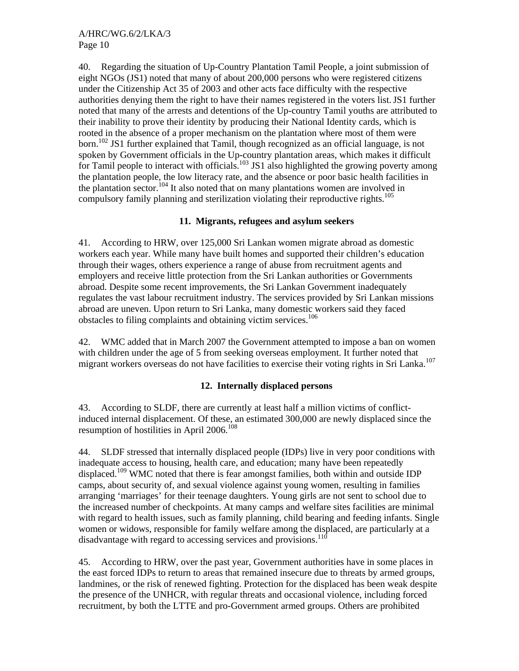40. Regarding the situation of Up-Country Plantation Tamil People, a joint submission of eight NGOs (JS1) noted that many of about 200,000 persons who were registered citizens under the Citizenship Act 35 of 2003 and other acts face difficulty with the respective authorities denying them the right to have their names registered in the voters list.JS1 further noted that many of the arrests and detentions of the Up-country Tamil youths are attributed to their inability to prove their identity by producing their National Identity cards, which is rooted in the absence of a proper mechanism on the plantation where most of them were born.<sup>102</sup> JS1 further explained that Tamil, though recognized as an official language, is not spoken by Government officials in the Up-country plantation areas, which makes it difficult for Tamil people to interact with officials.<sup>103</sup> JS1 also highlighted the growing poverty among the plantation people, the low literacy rate, and the absence or poor basic health facilities in the plantation sector.<sup>104</sup> It also noted that on many plantations women are involved in compulsory family planning and sterilization violating their reproductive rights.<sup>105</sup>

## **11. Migrants, refugees and asylum seekers**

41. According to HRW, over 125,000 Sri Lankan women migrate abroad as domestic workers each year. While many have built homes and supported their children's education through their wages, others experience a range of abuse from recruitment agents and employers and receive little protection from the Sri Lankan authorities or Governments abroad. Despite some recent improvements, the Sri Lankan Government inadequately regulates the vast labour recruitment industry. The services provided by Sri Lankan missions abroad are uneven. Upon return to Sri Lanka, many domestic workers said they faced obstacles to filing complaints and obtaining victim services.<sup>106</sup>

42. WMC added that in March 2007 the Government attempted to impose a ban on women with children under the age of 5 from seeking overseas employment. It further noted that migrant workers overseas do not have facilities to exercise their voting rights in Sri Lanka.<sup>107</sup>

## **12. Internally displaced persons**

43. According to SLDF, there are currently at least half a million victims of conflictinduced internal displacement. Of these, an estimated 300,000 are newly displaced since the resumption of hostilities in April 2006.<sup>108</sup>

44. SLDF stressed that internally displaced people (IDPs) live in very poor conditions with inadequate access to housing, health care, and education; many have been repeatedly displaced.<sup>109</sup> WMC noted that there is fear amongst families, both within and outside IDP camps, about security of, and sexual violence against young women, resulting in families arranging 'marriages' for their teenage daughters. Young girls are not sent to school due to the increased number of checkpoints. At many camps and welfare sites facilities are minimal with regard to health issues, such as family planning, child bearing and feeding infants. Single women or widows, responsible for family welfare among the displaced, are particularly at a disadvantage with regard to accessing services and provisions.<sup>110</sup>

45. According to HRW, over the past year, Government authorities have in some places in the east forced IDPs to return to areas that remained insecure due to threats by armed groups, landmines, or the risk of renewed fighting. Protection for the displaced has been weak despite the presence of the UNHCR, with regular threats and occasional violence, including forced recruitment, by both the LTTE and pro-Government armed groups. Others are prohibited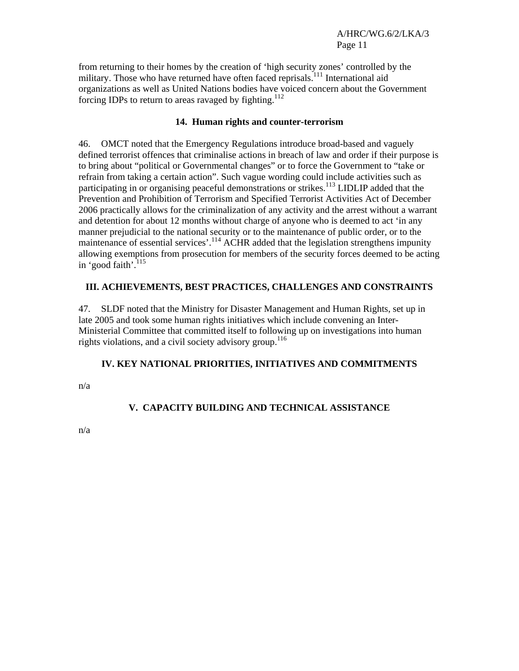from returning to their homes by the creation of 'high security zones' controlled by the military. Those who have returned have often faced reprisals.<sup>111</sup> International aid organizations as well as United Nations bodies have voiced concern about the Government forcing IDPs to return to areas ravaged by fighting. $112$ 

#### **14. Human rights and counter-terrorism**

46. OMCT noted that the Emergency Regulations introduce broad-based and vaguely defined terrorist offences that criminalise actions in breach of law and order if their purpose is to bring about "political or Governmental changes" or to force the Government to "take or refrain from taking a certain action". Such vague wording could include activities such as participating in or organising peaceful demonstrations or strikes.<sup>113</sup> LIDLIP added that the Prevention and Prohibition of Terrorism and Specified Terrorist Activities Act of December 2006 practically allows for the criminalization of any activity and the arrest without a warrant and detention for about 12 months without charge of anyone who is deemed to act 'in any manner prejudicial to the national security or to the maintenance of public order, or to the maintenance of essential services'.<sup>114</sup> ACHR added that the legislation strengthens impunity allowing exemptions from prosecution for members of the security forces deemed to be acting in 'good faith'.<sup>115</sup>

## **III. ACHIEVEMENTS, BEST PRACTICES, CHALLENGES AND CONSTRAINTS**

47. SLDF noted that the Ministry for Disaster Management and Human Rights, set up in late 2005 and took some human rights initiatives which include convening an Inter-Ministerial Committee that committed itself to following up on investigations into human rights violations, and a civil society advisory group.<sup>116</sup>

# **IV. KEY NATIONAL PRIORITIES, INITIATIVES AND COMMITMENTS**

n/a

# **V. CAPACITY BUILDING AND TECHNICAL ASSISTANCE**

n/a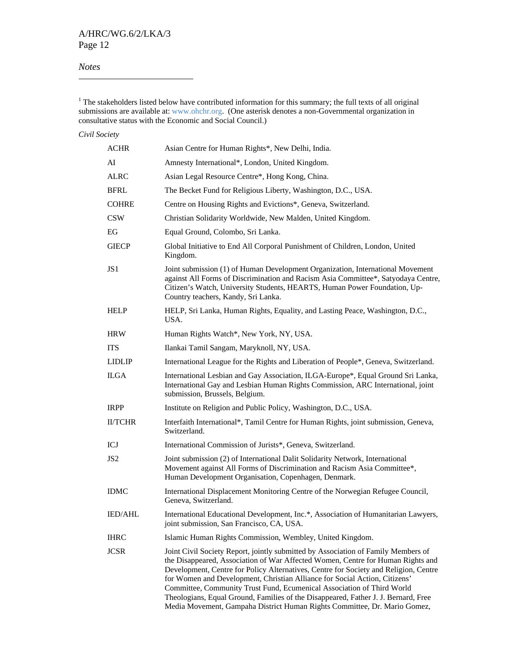#### *Notes*

 $1$ <sup>1</sup> The stakeholders listed below have contributed information for this summary; the full texts of all original submissions are available at: www.ohchr.org. (One asterisk denotes a non-Governmental organization in consultative status with the Economic and Social Council.)

#### *Civil Society*

| <b>ACHR</b>    | Asian Centre for Human Rights*, New Delhi, India.                                                                                                                                                                                                                                                                                                                                                                                                                                                                                                                                       |
|----------------|-----------------------------------------------------------------------------------------------------------------------------------------------------------------------------------------------------------------------------------------------------------------------------------------------------------------------------------------------------------------------------------------------------------------------------------------------------------------------------------------------------------------------------------------------------------------------------------------|
| AI             | Amnesty International*, London, United Kingdom.                                                                                                                                                                                                                                                                                                                                                                                                                                                                                                                                         |
| ALRC           | Asian Legal Resource Centre*, Hong Kong, China.                                                                                                                                                                                                                                                                                                                                                                                                                                                                                                                                         |
| BFRL           | The Becket Fund for Religious Liberty, Washington, D.C., USA.                                                                                                                                                                                                                                                                                                                                                                                                                                                                                                                           |
| COHRE          | Centre on Housing Rights and Evictions*, Geneva, Switzerland.                                                                                                                                                                                                                                                                                                                                                                                                                                                                                                                           |
| CSW            | Christian Solidarity Worldwide, New Malden, United Kingdom.                                                                                                                                                                                                                                                                                                                                                                                                                                                                                                                             |
| EG             | Equal Ground, Colombo, Sri Lanka.                                                                                                                                                                                                                                                                                                                                                                                                                                                                                                                                                       |
| GIECP          | Global Initiative to End All Corporal Punishment of Children, London, United<br>Kingdom.                                                                                                                                                                                                                                                                                                                                                                                                                                                                                                |
| JS1            | Joint submission (1) of Human Development Organization, International Movement<br>against All Forms of Discrimination and Racism Asia Committee*, Satyodaya Centre,<br>Citizen's Watch, University Students, HEARTS, Human Power Foundation, Up-<br>Country teachers, Kandy, Sri Lanka.                                                                                                                                                                                                                                                                                                 |
| HELP           | HELP, Sri Lanka, Human Rights, Equality, and Lasting Peace, Washington, D.C.,<br>USA.                                                                                                                                                                                                                                                                                                                                                                                                                                                                                                   |
| HRW            | Human Rights Watch*, New York, NY, USA.                                                                                                                                                                                                                                                                                                                                                                                                                                                                                                                                                 |
| ITS            | Ilankai Tamil Sangam, Maryknoll, NY, USA.                                                                                                                                                                                                                                                                                                                                                                                                                                                                                                                                               |
| LIDLIP         | International League for the Rights and Liberation of People*, Geneva, Switzerland.                                                                                                                                                                                                                                                                                                                                                                                                                                                                                                     |
| ILGA           | International Lesbian and Gay Association, ILGA-Europe*, Equal Ground Sri Lanka,<br>International Gay and Lesbian Human Rights Commission, ARC International, joint<br>submission, Brussels, Belgium.                                                                                                                                                                                                                                                                                                                                                                                   |
| IRPP           | Institute on Religion and Public Policy, Washington, D.C., USA.                                                                                                                                                                                                                                                                                                                                                                                                                                                                                                                         |
| <b>II/TCHR</b> | Interfaith International*, Tamil Centre for Human Rights, joint submission, Geneva,<br>Switzerland.                                                                                                                                                                                                                                                                                                                                                                                                                                                                                     |
| ICJ            | International Commission of Jurists*, Geneva, Switzerland.                                                                                                                                                                                                                                                                                                                                                                                                                                                                                                                              |
| JS2            | Joint submission (2) of International Dalit Solidarity Network, International<br>Movement against All Forms of Discrimination and Racism Asia Committee*,<br>Human Development Organisation, Copenhagen, Denmark.                                                                                                                                                                                                                                                                                                                                                                       |
| IDMC           | International Displacement Monitoring Centre of the Norwegian Refugee Council,<br>Geneva, Switzerland.                                                                                                                                                                                                                                                                                                                                                                                                                                                                                  |
| <b>IED/AHL</b> | International Educational Development, Inc.*, Association of Humanitarian Lawyers,<br>joint submission, San Francisco, CA, USA.                                                                                                                                                                                                                                                                                                                                                                                                                                                         |
| IHRC           | Islamic Human Rights Commission, Wembley, United Kingdom.                                                                                                                                                                                                                                                                                                                                                                                                                                                                                                                               |
| JCSR           | Joint Civil Society Report, jointly submitted by Association of Family Members of<br>the Disappeared, Association of War Affected Women, Centre for Human Rights and<br>Development, Centre for Policy Alternatives, Centre for Society and Religion, Centre<br>for Women and Development, Christian Alliance for Social Action, Citizens'<br>Committee, Community Trust Fund, Ecumenical Association of Third World<br>Theologians, Equal Ground, Families of the Disappeared, Father J. J. Bernard, Free<br>Media Movement, Gampaha District Human Rights Committee, Dr. Mario Gomez, |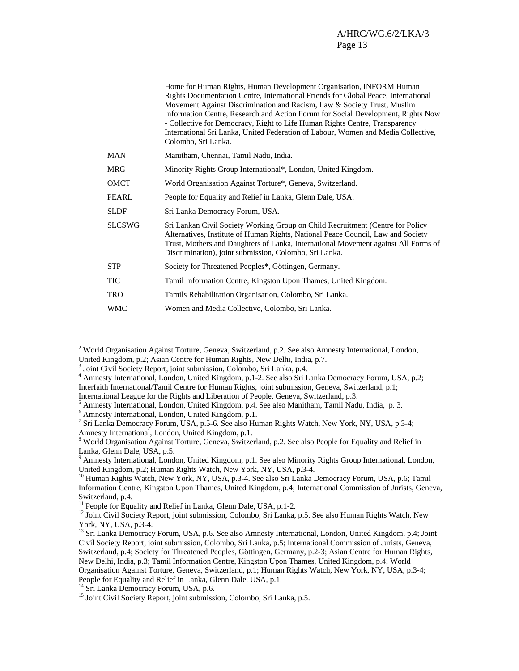| Home for Human Rights, Human Development Organisation, INFORM Human<br>Rights Documentation Centre, International Friends for Global Peace, International<br>Movement Against Discrimination and Racism, Law & Society Trust, Muslim<br>Information Centre, Research and Action Forum for Social Development, Rights Now<br>- Collective for Democracy, Right to Life Human Rights Centre, Transparency<br>International Sri Lanka, United Federation of Labour, Women and Media Collective,<br>Colombo, Sri Lanka. |
|---------------------------------------------------------------------------------------------------------------------------------------------------------------------------------------------------------------------------------------------------------------------------------------------------------------------------------------------------------------------------------------------------------------------------------------------------------------------------------------------------------------------|
| Manitham, Chennai, Tamil Nadu, India.                                                                                                                                                                                                                                                                                                                                                                                                                                                                               |
| Minority Rights Group International*, London, United Kingdom.                                                                                                                                                                                                                                                                                                                                                                                                                                                       |
| World Organisation Against Torture*, Geneva, Switzerland.                                                                                                                                                                                                                                                                                                                                                                                                                                                           |
| People for Equality and Relief in Lanka, Glenn Dale, USA.                                                                                                                                                                                                                                                                                                                                                                                                                                                           |
| Sri Lanka Democracy Forum, USA.                                                                                                                                                                                                                                                                                                                                                                                                                                                                                     |
| Sri Lankan Civil Society Working Group on Child Recruitment (Centre for Policy<br>Alternatives, Institute of Human Rights, National Peace Council, Law and Society<br>Trust, Mothers and Daughters of Lanka, International Movement against All Forms of<br>Discrimination), joint submission, Colombo, Sri Lanka.                                                                                                                                                                                                  |
| Society for Threatened Peoples*, Göttingen, Germany.                                                                                                                                                                                                                                                                                                                                                                                                                                                                |
| Tamil Information Centre, Kingston Upon Thames, United Kingdom.                                                                                                                                                                                                                                                                                                                                                                                                                                                     |
| Tamils Rehabilitation Organisation, Colombo, Sri Lanka.                                                                                                                                                                                                                                                                                                                                                                                                                                                             |
| Women and Media Collective, Colombo, Sri Lanka.                                                                                                                                                                                                                                                                                                                                                                                                                                                                     |
|                                                                                                                                                                                                                                                                                                                                                                                                                                                                                                                     |

<sup>2</sup> World Organisation Against Torture, Geneva, Switzerland, p.2. See also Amnesty International, London, United Kingdom, p.2; Asian Centre for Human Rights, New Delhi, India, p.7.

-----

<sup>3</sup> Joint Civil Society Report, joint submission, Colombo, Sri Lanka, p.4.

4 Amnesty International, London, United Kingdom, p.1-2. See also Sri Lanka Democracy Forum, USA, p.2; Interfaith International/Tamil Centre for Human Rights, joint submission, Geneva, Switzerland, p.1;

International League for the Rights and Liberation of People, Geneva, Switzerland, p.3.

<sup>5</sup> Amnesty International, London, United Kingdom, p.4. See also Manitham, Tamil Nadu, India, p. 3.  $^{6}$  Amnesty International, London, United Kingdom, p.1.

Amnesty International, London, United Kingdom, p.1.

 $\overline{\phantom{a}}$ 

<sup>7</sup> Sri Lanka Democracy Forum, USA, p.5-6. See also Human Rights Watch, New York, NY, USA, p.3-4; Amnesty International, London, United Kingdom, p.1.

<sup>8</sup> World Organisation Against Torture, Geneva, Switzerland, p.2. See also People for Equality and Relief in Lanka, Glenn Dale, USA, p.5.

<sup>9</sup> Amnesty International, London, United Kingdom, p.1. See also Minority Rights Group International, London, United Kingdom, p.2; Human Rights Watch, New York, NY, USA, p.3-4.

<sup>10</sup> Human Rights Watch, New York, NY, USA, p.3-4. See also Sri Lanka Democracy Forum, USA, p.6; Tamil Information Centre, Kingston Upon Thames, United Kingdom, p.4; International Commission of Jurists, Geneva, Switzerland, p.4.

<sup>11</sup> People for Equality and Relief in Lanka, Glenn Dale, USA, p.1-2.

<sup>12</sup> Joint Civil Society Report, joint submission, Colombo, Sri Lanka, p.5. See also Human Rights Watch, New York, NY, USA, p.3-4.

<sup>13</sup> Sri Lanka Democracy Forum, USA, p.6. See also Amnesty International, London, United Kingdom, p.4; Joint Civil Society Report, joint submission, Colombo, Sri Lanka, p.5; International Commission of Jurists, Geneva, Switzerland, p.4; Society for Threatened Peoples, Göttingen, Germany, p.2-3; Asian Centre for Human Rights, New Delhi, India, p.3; Tamil Information Centre, Kingston Upon Thames, United Kingdom, p.4; World Organisation Against Torture, Geneva, Switzerland, p.1; Human Rights Watch, New York, NY, USA, p.3-4; People for Equality and Relief in Lanka, Glenn Dale, USA, p.1.

<sup>14</sup> Sri Lanka Democracy Forum, USA, p.6.

<sup>&</sup>lt;sup>15</sup> Joint Civil Society Report, joint submission, Colombo, Sri Lanka, p.5.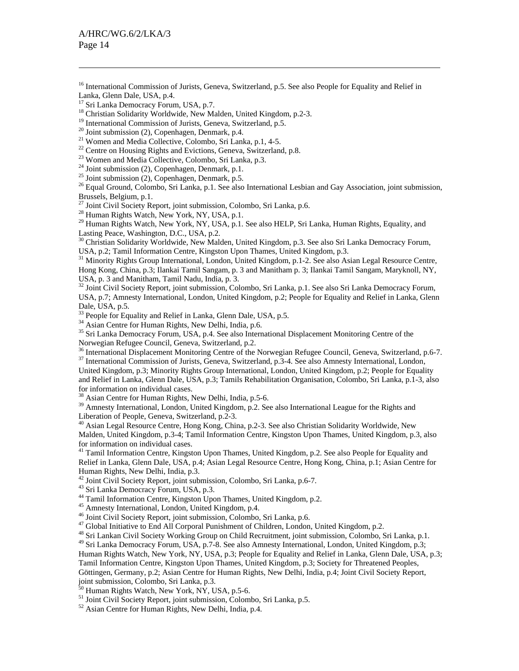$\overline{\phantom{a}}$ 

<sup>18</sup> Christian Solidarity Worldwide, New Malden, United Kingdom, p.2-3.

<sup>22</sup> Centre on Housing Rights and Evictions, Geneva, Switzerland, p.8.

23 Women and Media Collective, Colombo, Sri Lanka, p.3.

<sup>24</sup> Joint submission (2), Copenhagen, Denmark, p.1.

 $25$  Joint submission (2), Copenhagen, Denmark, p.5.

<sup>26</sup> Equal Ground, Colombo, Sri Lanka, p.1. See also International Lesbian and Gay Association, joint submission, Brussels, Belgium, p.1.

 $^{27}$  Joint Civil Society Report, joint submission, Colombo, Sri Lanka, p.6.

<sup>28</sup> Human Rights Watch, New York, NY, USA, p.1.

<sup>29</sup> Human Rights Watch, New York, NY, USA, p.1. See also HELP, Sri Lanka, Human Rights, Equality, and Lasting Peace, Washington, D.C., USA, p.2.

<sup>30</sup> Christian Solidarity Worldwide, New Malden, United Kingdom, p.3. See also Sri Lanka Democracy Forum, USA, p.2; Tamil Information Centre, Kingston Upon Thames, United Kingdom, p.3.

<sup>31</sup> Minority Rights Group International, London, United Kingdom, p.1-2. See also Asian Legal Resource Centre, Hong Kong, China, p.3; Ilankai Tamil Sangam, p. 3 and Manitham p. 3; Ilankai Tamil Sangam, Maryknoll, NY, USA, p. 3 and Manitham, Tamil Nadu, India, p. 3.

<sup>32</sup> Joint Civil Society Report, joint submission, Colombo, Sri Lanka, p.1. See also Sri Lanka Democracy Forum, USA, p.7; Amnesty International, London, United Kingdom, p.2; People for Equality and Relief in Lanka, Glenn Dale, USA, p.5.

<sup>33</sup> People for Equality and Relief in Lanka, Glenn Dale, USA, p.5.

<sup>34</sup> Asian Centre for Human Rights, New Delhi, India, p.6.

<sup>35</sup> Sri Lanka Democracy Forum, USA, p.4. See also International Displacement Monitoring Centre of the Norwegian Refugee Council, Geneva, Switzerland, p.2.

36 International Displacement Monitoring Centre of the Norwegian Refugee Council, Geneva, Switzerland, p.6-7. <sup>37</sup> International Commission of Jurists, Geneva, Switzerland, p.3-4. See also Amnesty International, London,

United Kingdom, p.3; Minority Rights Group International, London, United Kingdom, p.2; People for Equality and Relief in Lanka, Glenn Dale, USA, p.3; Tamils Rehabilitation Organisation, Colombo, Sri Lanka, p.1-3, also for information on individual cases.

38 Asian Centre for Human Rights, New Delhi, India, p.5-6.

<sup>39</sup> Amnesty International, London, United Kingdom, p.2. See also International League for the Rights and Liberation of People, Geneva, Switzerland, p.2-3.

40 Asian Legal Resource Centre, Hong Kong, China, p.2-3. See also Christian Solidarity Worldwide, New Malden, United Kingdom, p.3-4; Tamil Information Centre, Kingston Upon Thames, United Kingdom, p.3, also for information on individual cases.

 $41$  Tamil Information Centre, Kingston Upon Thames, United Kingdom, p.2. See also People for Equality and Relief in Lanka, Glenn Dale, USA, p.4; Asian Legal Resource Centre, Hong Kong, China, p.1; Asian Centre for Human Rights, New Delhi, India, p.3.

42 Joint Civil Society Report, joint submission, Colombo, Sri Lanka, p.6-7.

43 Sri Lanka Democracy Forum, USA, p.3.

<sup>44</sup> Tamil Information Centre, Kingston Upon Thames, United Kingdom, p.2.

45 Amnesty International, London, United Kingdom, p.4.

46 Joint Civil Society Report, joint submission, Colombo, Sri Lanka, p.6.

<sup>47</sup> Global Initiative to End All Corporal Punishment of Children, London, United Kingdom, p.2.

<sup>48</sup> Sri Lankan Civil Society Working Group on Child Recruitment, joint submission, Colombo, Sri Lanka, p.1. <sup>49</sup> Sri Lanka Democracy Forum, USA, p.7-8. See also Amnesty International, London, United Kingdom, p.3; Human Rights Watch, New York, NY, USA, p.3; People for Equality and Relief in Lanka, Glenn Dale, USA, p.3; Tamil Information Centre, Kingston Upon Thames, United Kingdom, p.3; Society for Threatened Peoples, Göttingen, Germany, p.2; Asian Centre for Human Rights, New Delhi, India, p.4; Joint Civil Society Report, joint submission, Colombo, Sri Lanka, p.3.

 $50$  Human Rights Watch, New York, NY, USA, p.5-6.

51 Joint Civil Society Report, joint submission, Colombo, Sri Lanka, p.5.

52 Asian Centre for Human Rights, New Delhi, India, p.4.

<sup>&</sup>lt;sup>16</sup> International Commission of Jurists, Geneva, Switzerland, p.5. See also People for Equality and Relief in Lanka, Glenn Dale, USA, p.4.

Sri Lanka Democracy Forum, USA, p.7.

<sup>&</sup>lt;sup>19</sup> International Commission of Jurists, Geneva, Switzerland, p.5.

 $20$  Joint submission (2), Copenhagen, Denmark, p.4.

<sup>21</sup> Women and Media Collective, Colombo, Sri Lanka, p.1, 4-5.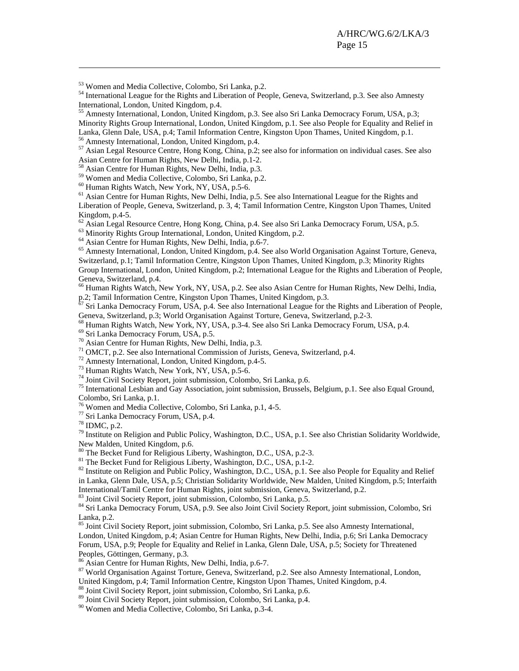53 Women and Media Collective, Colombo, Sri Lanka, p.2.

54 International League for the Rights and Liberation of People, Geneva, Switzerland, p.3. See also Amnesty International, London, United Kingdom, p.4.

55 Amnesty International, London, United Kingdom, p.3. See also Sri Lanka Democracy Forum, USA, p.3; Minority Rights Group International, London, United Kingdom, p.1. See also People for Equality and Relief in Lanka, Glenn Dale, USA, p.4; Tamil Information Centre, Kingston Upon Thames, United Kingdom, p.1.

56 Amnesty International, London, United Kingdom, p.4.

57 Asian Legal Resource Centre, Hong Kong, China, p.2; see also for information on individual cases. See also Asian Centre for Human Rights, New Delhi, India, p.1-2.

58 Asian Centre for Human Rights, New Delhi, India, p.3.

59 Women and Media Collective, Colombo, Sri Lanka, p.2.

60 Human Rights Watch, New York, NY, USA, p.5-6.

<sup>61</sup> Asian Centre for Human Rights, New Delhi, India, p.5. See also International League for the Rights and Liberation of People, Geneva, Switzerland, p. 3, 4; Tamil Information Centre, Kingston Upon Thames, United Kingdom, p.4-5.

<sup>62</sup> Asian Legal Resource Centre, Hong Kong, China, p.4. See also Sri Lanka Democracy Forum, USA, p.5.

<sup>63</sup> Minority Rights Group International, London, United Kingdom, p.2.

64 Asian Centre for Human Rights, New Delhi, India, p.6-7.

<sup>65</sup> Amnesty International, London, United Kingdom, p.4. See also World Organisation Against Torture, Geneva, Switzerland, p.1; Tamil Information Centre, Kingston Upon Thames, United Kingdom, p.3; Minority Rights Group International, London, United Kingdom, p.2; International League for the Rights and Liberation of People, Geneva, Switzerland, p.4.

<sup>66</sup> Human Rights Watch, New York, NY, USA, p.2. See also Asian Centre for Human Rights, New Delhi, India, p.2; Tamil Information Centre, Kingston Upon Thames, United Kingdom, p.3.

 $67$  Sri Lanka Democracy Forum, USA, p.4. See also International League for the Rights and Liberation of People, Geneva, Switzerland, p.3; World Organisation Against Torture, Geneva, Switzerland, p.2-3.

68 Human Rights Watch, New York, NY, USA, p.3-4. See also Sri Lanka Democracy Forum, USA, p.4.

69 Sri Lanka Democracy Forum, USA, p.5.

 $70$  Asian Centre for Human Rights, New Delhi, India, p.3.

<sup>71</sup> OMCT, p.2. See also International Commission of Jurists, Geneva, Switzerland, p.4.

72 Amnesty International, London, United Kingdom, p.4-5.

73 Human Rights Watch, New York, NY, USA, p.5-6.

74 Joint Civil Society Report, joint submission, Colombo, Sri Lanka, p.6.

75 International Lesbian and Gay Association, joint submission, Brussels, Belgium, p.1. See also Equal Ground, Colombo, Sri Lanka, p.1.

76 Women and Media Collective, Colombo, Sri Lanka, p.1, 4-5.

77 Sri Lanka Democracy Forum, USA, p.4.

78 IDMC, p.2.

 $\overline{\phantom{a}}$ 

 $79$  Institute on Religion and Public Policy, Washington, D.C., USA, p.1. See also Christian Solidarity Worldwide. New Malden, United Kingdom, p.6.

<sup>80</sup> The Becket Fund for Religious Liberty, Washington, D.C., USA, p.2-3.

<sup>81</sup> The Becket Fund for Religious Liberty, Washington, D.C., USA, p.1-2.

<sup>82</sup> Institute on Religion and Public Policy, Washington, D.C., USA, p.1. See also People for Equality and Relief in Lanka, Glenn Dale, USA, p.5; Christian Solidarity Worldwide, New Malden, United Kingdom, p.5; Interfaith International/Tamil Centre for Human Rights, joint submission, Geneva, Switzerland, p.2.

83 Joint Civil Society Report, joint submission, Colombo, Sri Lanka, p.5.

<sup>84</sup> Sri Lanka Democracy Forum, USA, p.9. See also Joint Civil Society Report, joint submission, Colombo, Sri Lanka, p.2.

85 Joint Civil Society Report, joint submission, Colombo, Sri Lanka, p.5. See also Amnesty International, London, United Kingdom, p.4; Asian Centre for Human Rights, New Delhi, India, p.6; Sri Lanka Democracy Forum, USA, p.9; People for Equality and Relief in Lanka, Glenn Dale, USA, p.5; Society for Threatened Peoples, Göttingen, Germany, p.3.

86 Asian Centre for Human Rights, New Delhi, India, p.6-7.

<sup>87</sup> World Organisation Against Torture, Geneva, Switzerland, p.2. See also Amnesty International, London, United Kingdom, p.4; Tamil Information Centre, Kingston Upon Thames, United Kingdom, p.4.

88 Joint Civil Society Report, joint submission, Colombo, Sri Lanka, p.6.

89 Joint Civil Society Report, joint submission, Colombo, Sri Lanka, p.4.

90 Women and Media Collective, Colombo, Sri Lanka, p.3-4.